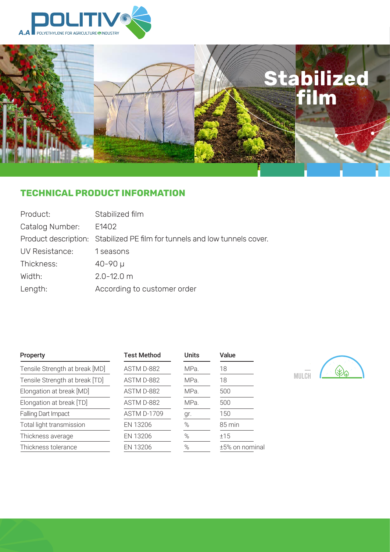

La

# **Stabilized film**

# **TECHNICAL PRODUCT INFORMATION**

| Product:        | Stabilized film                                                            |
|-----------------|----------------------------------------------------------------------------|
| Catalog Number: | E1402                                                                      |
|                 | Product description: Stabilized PE film for tunnels and low tunnels cover. |
| UV Resistance:  | 1 seasons                                                                  |
| Thickness:      | $40 - 90 \mu$                                                              |
| Width:          | $2.0 - 12.0$ m                                                             |
| Length:         | According to customer order                                                |

| <b>Property</b>                | <b>Test Method</b> | <b>Units</b> | Value          |  |
|--------------------------------|--------------------|--------------|----------------|--|
| Tensile Strength at break [MD] | ASTM D-882         | MPa.         | 18             |  |
| Tensile Strength at break [TD] | ASTM D-882         | MPa.         | 18             |  |
| Elongation at break [MD]       | ASTM D-882         | MPa.         | 500            |  |
| Elongation at break [TD]       | ASTM D-882         | MPa.         | 500            |  |
| Falling Dart Impact            | <b>ASTM D-1709</b> | gr.          | 150            |  |
| Total light transmission       | EN 13206           | $\%$         | 85 min         |  |
| Thickness average              | EN 13206           | $\%$         | ±15            |  |
| Thickness tolerance            | EN 13206           | $\%$         | ±5% on nominal |  |